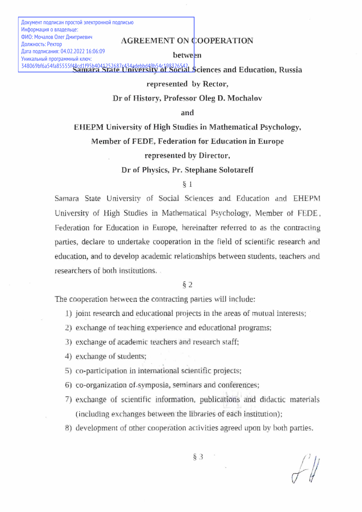Документ подписан простой электронной подписью Информация о владельце: ФИО: Мочалов Олег Дмитриевич Должность: Ректор Дата подписания: 04.02.2022 16:06:09 Уникальный программный ключ:

## AGREEMENT ON COOPERATION

between

Samara State University of Social Sciences and Education, Russia 348069bf6a54fa85555f48cd1f95b4041252687c434adebbd49b54c198326542

## represented by Rector,

Dr of History, Professor Oleg D. Mochalov

and

EHEPM University of High Studies in Mathematical Psychology,

Member of FEDE, Federation for Education in Europe

represented by Director,

Dr of Physics, Pr, Stephane Solotareff

## § 1

Samara State University of Social Sciences and Education and EHEPM University of High Studies in Mathematical Psychology, Member of FEDE, Federation for Education in Europe, hereinafter referred to as the contracting parties, declare to undertake cooperation in the field of scientific research and education, and to develop academic relationships between students, teachers and researchers of both institutions,

§2

The cooperation between the contracting parties will include:

- 1) joint research and educational projects in the areas of mutual interests;
- 2) exchange of teaching experience and educational programs:
- 3) exchange of academic teachers and research staff;
- 4) exchange of students;
- 5) co-participation in international scientific projects;
- 5) co-organization of symposia, seminars and conferences;
- 7) exchange of scientific information, publications and didactic materials (including exchanges between the libraries of each institution);
- 8) development of other cooperation activities agreed upon by both parties.

 $\S$  3